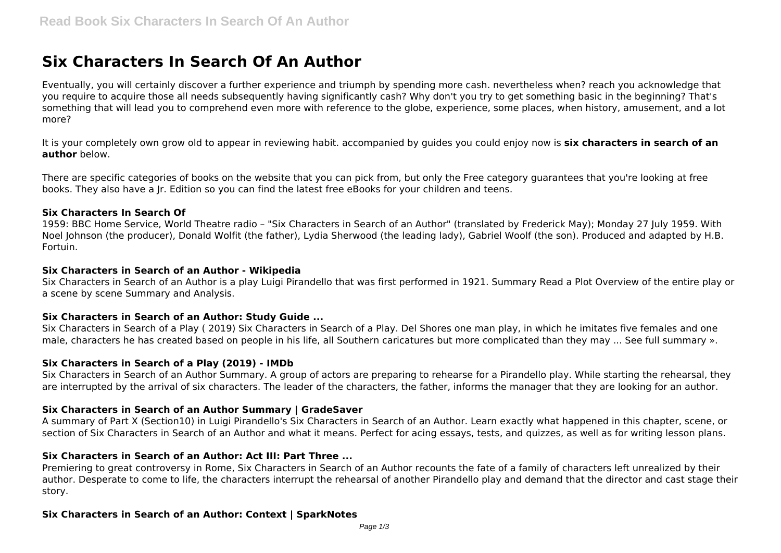# **Six Characters In Search Of An Author**

Eventually, you will certainly discover a further experience and triumph by spending more cash. nevertheless when? reach you acknowledge that you require to acquire those all needs subsequently having significantly cash? Why don't you try to get something basic in the beginning? That's something that will lead you to comprehend even more with reference to the globe, experience, some places, when history, amusement, and a lot more?

It is your completely own grow old to appear in reviewing habit. accompanied by guides you could enjoy now is **six characters in search of an author** below.

There are specific categories of books on the website that you can pick from, but only the Free category guarantees that you're looking at free books. They also have a Jr. Edition so you can find the latest free eBooks for your children and teens.

# **Six Characters In Search Of**

1959: BBC Home Service, World Theatre radio – "Six Characters in Search of an Author" (translated by Frederick May); Monday 27 July 1959. With Noel Johnson (the producer), Donald Wolfit (the father), Lydia Sherwood (the leading lady), Gabriel Woolf (the son). Produced and adapted by H.B. Fortuin.

# **Six Characters in Search of an Author - Wikipedia**

Six Characters in Search of an Author is a play Luigi Pirandello that was first performed in 1921. Summary Read a Plot Overview of the entire play or a scene by scene Summary and Analysis.

# **Six Characters in Search of an Author: Study Guide ...**

Six Characters in Search of a Play ( 2019) Six Characters in Search of a Play. Del Shores one man play, in which he imitates five females and one male, characters he has created based on people in his life, all Southern caricatures but more complicated than they may ... See full summary ».

# **Six Characters in Search of a Play (2019) - IMDb**

Six Characters in Search of an Author Summary. A group of actors are preparing to rehearse for a Pirandello play. While starting the rehearsal, they are interrupted by the arrival of six characters. The leader of the characters, the father, informs the manager that they are looking for an author.

# **Six Characters in Search of an Author Summary | GradeSaver**

A summary of Part X (Section10) in Luigi Pirandello's Six Characters in Search of an Author. Learn exactly what happened in this chapter, scene, or section of Six Characters in Search of an Author and what it means. Perfect for acing essays, tests, and quizzes, as well as for writing lesson plans.

# **Six Characters in Search of an Author: Act III: Part Three ...**

Premiering to great controversy in Rome, Six Characters in Search of an Author recounts the fate of a family of characters left unrealized by their author. Desperate to come to life, the characters interrupt the rehearsal of another Pirandello play and demand that the director and cast stage their story.

# **Six Characters in Search of an Author: Context | SparkNotes**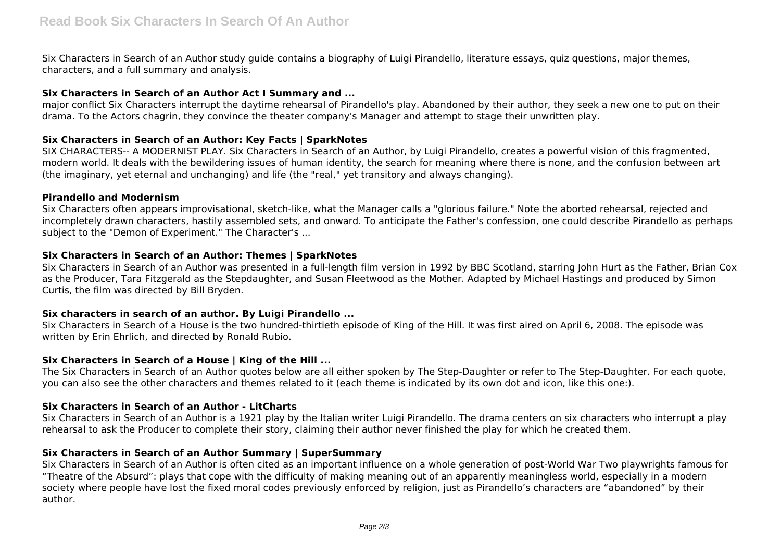Six Characters in Search of an Author study guide contains a biography of Luigi Pirandello, literature essays, quiz questions, major themes, characters, and a full summary and analysis.

# **Six Characters in Search of an Author Act I Summary and ...**

major conflict Six Characters interrupt the daytime rehearsal of Pirandello's play. Abandoned by their author, they seek a new one to put on their drama. To the Actors chagrin, they convince the theater company's Manager and attempt to stage their unwritten play.

# **Six Characters in Search of an Author: Key Facts | SparkNotes**

SIX CHARACTERS-- A MODERNIST PLAY. Six Characters in Search of an Author, by Luigi Pirandello, creates a powerful vision of this fragmented, modern world. It deals with the bewildering issues of human identity, the search for meaning where there is none, and the confusion between art (the imaginary, yet eternal and unchanging) and life (the "real," yet transitory and always changing).

#### **Pirandello and Modernism**

Six Characters often appears improvisational, sketch-like, what the Manager calls a "glorious failure." Note the aborted rehearsal, rejected and incompletely drawn characters, hastily assembled sets, and onward. To anticipate the Father's confession, one could describe Pirandello as perhaps subject to the "Demon of Experiment." The Character's ...

# **Six Characters in Search of an Author: Themes | SparkNotes**

Six Characters in Search of an Author was presented in a full-length film version in 1992 by BBC Scotland, starring John Hurt as the Father, Brian Cox as the Producer, Tara Fitzgerald as the Stepdaughter, and Susan Fleetwood as the Mother. Adapted by Michael Hastings and produced by Simon Curtis, the film was directed by Bill Bryden.

# **Six characters in search of an author. By Luigi Pirandello ...**

Six Characters in Search of a House is the two hundred-thirtieth episode of King of the Hill. It was first aired on April 6, 2008. The episode was written by Erin Ehrlich, and directed by Ronald Rubio.

# **Six Characters in Search of a House | King of the Hill ...**

The Six Characters in Search of an Author quotes below are all either spoken by The Step-Daughter or refer to The Step-Daughter. For each quote, you can also see the other characters and themes related to it (each theme is indicated by its own dot and icon, like this one:).

# **Six Characters in Search of an Author - LitCharts**

Six Characters in Search of an Author is a 1921 play by the Italian writer Luigi Pirandello. The drama centers on six characters who interrupt a play rehearsal to ask the Producer to complete their story, claiming their author never finished the play for which he created them.

# **Six Characters in Search of an Author Summary | SuperSummary**

Six Characters in Search of an Author is often cited as an important influence on a whole generation of post-World War Two playwrights famous for "Theatre of the Absurd": plays that cope with the difficulty of making meaning out of an apparently meaningless world, especially in a modern society where people have lost the fixed moral codes previously enforced by religion, just as Pirandello's characters are "abandoned" by their author.